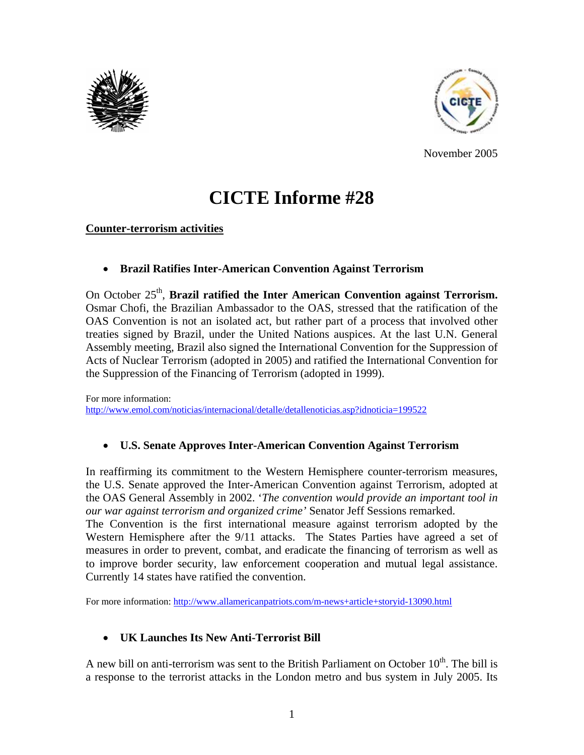



November 2005

# **CICTE Informe #28**

#### **Counter-terrorism activities**

• **Brazil Ratifies Inter-American Convention Against Terrorism** 

On October 25<sup>th</sup>, **Brazil ratified the Inter American Convention against Terrorism.** Osmar Chofi, the Brazilian Ambassador to the OAS, stressed that the ratification of the OAS Convention is not an isolated act, but rather part of a process that involved other treaties signed by Brazil, under the United Nations auspices. At the last U.N. General Assembly meeting, Brazil also signed the International Convention for the Suppression of Acts of Nuclear Terrorism (adopted in 2005) and ratified the International Convention for the Suppression of the Financing of Terrorism (adopted in 1999).

For more information: http://www.emol.com/noticias/internacional/detalle/detallenoticias.asp?idnoticia=199522

### • **U.S. Senate Approves Inter-American Convention Against Terrorism**

In reaffirming its commitment to the Western Hemisphere counter-terrorism measures, the U.S. Senate approved the Inter-American Convention against Terrorism, adopted at the OAS General Assembly in 2002. '*The convention would provide an important tool in our war against terrorism and organized crime'* Senator Jeff Sessions remarked. The Convention is the first international measure against terrorism adopted by the Western Hemisphere after the 9/11 attacks. The States Parties have agreed a set of measures in order to prevent, combat, and eradicate the financing of terrorism as well as to improve border security, law enforcement cooperation and mutual legal assistance. Currently 14 states have ratified the convention.

For more information: http://www.allamericanpatriots.com/m-news+article+storyid-13090.html

# • **UK Launches Its New Anti-Terrorist Bill**

A new bill on anti-terrorism was sent to the British Parliament on October  $10<sup>th</sup>$ . The bill is a response to the terrorist attacks in the London metro and bus system in July 2005. Its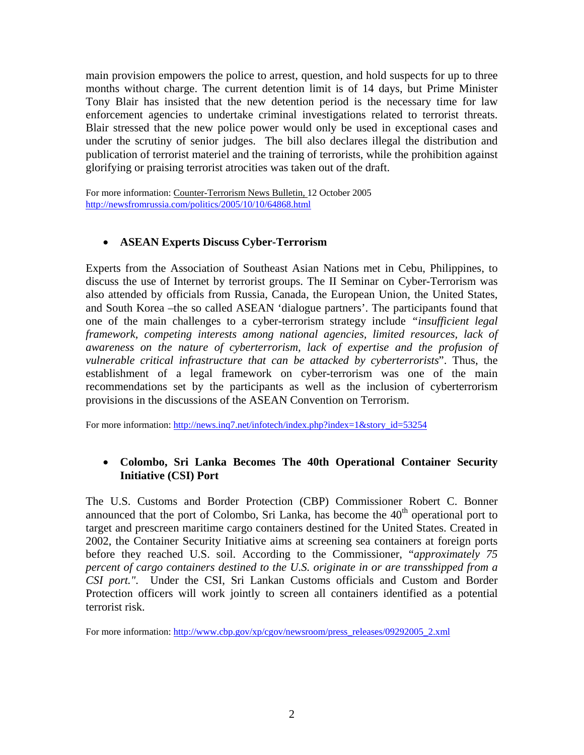main provision empowers the police to arrest, question, and hold suspects for up to three months without charge. The current detention limit is of 14 days, but Prime Minister Tony Blair has insisted that the new detention period is the necessary time for law enforcement agencies to undertake criminal investigations related to terrorist threats. Blair stressed that the new police power would only be used in exceptional cases and under the scrutiny of senior judges. The bill also declares illegal the distribution and publication of terrorist materiel and the training of terrorists, while the prohibition against glorifying or praising terrorist atrocities was taken out of the draft.

For more information: Counter-Terrorism News Bulletin, 12 October 2005 http://newsfromrussia.com/politics/2005/10/10/64868.html

#### • **ASEAN Experts Discuss Cyber-Terrorism**

Experts from the Association of Southeast Asian Nations met in Cebu, Philippines, to discuss the use of Internet by terrorist groups. The II Seminar on Cyber-Terrorism was also attended by officials from Russia, Canada, the European Union, the United States, and South Korea –the so called ASEAN 'dialogue partners'. The participants found that one of the main challenges to a cyber-terrorism strategy include *"insufficient legal framework, competing interests among national agencies, limited resources, lack of awareness on the nature of cyberterrorism, lack of expertise and the profusion of vulnerable critical infrastructure that can be attacked by cyberterrorists*". Thus, the establishment of a legal framework on cyber-terrorism was one of the main recommendations set by the participants as well as the inclusion of cyberterrorism provisions in the discussions of the ASEAN Convention on Terrorism.

For more information: http://news.inq7.net/infotech/index.php?index=1&story\_id=53254

#### • **Colombo, Sri Lanka Becomes The 40th Operational Container Security Initiative (CSI) Port**

The U.S. Customs and Border Protection (CBP) Commissioner Robert C. Bonner announced that the port of Colombo, Sri Lanka, has become the  $40<sup>th</sup>$  operational port to target and prescreen maritime cargo containers destined for the United States. Created in 2002, the Container Security Initiative aims at screening sea containers at foreign ports before they reached U.S. soil. According to the Commissioner, "*approximately 75 percent of cargo containers destined to the U.S. originate in or are transshipped from a CSI port."*. Under the CSI, Sri Lankan Customs officials and Custom and Border Protection officers will work jointly to screen all containers identified as a potential terrorist risk.

For more information: http://www.cbp.gov/xp/cgov/newsroom/press\_releases/09292005\_2.xml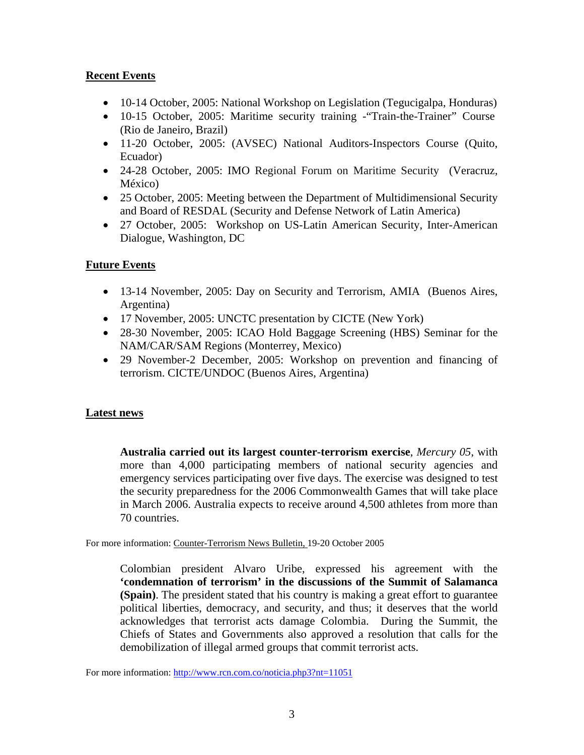## **Recent Events**

- 10-14 October, 2005: National Workshop on Legislation (Tegucigalpa, Honduras)
- 10-15 October, 2005: Maritime security training Train-the-Trainer" Course (Rio de Janeiro, Brazil)
- 11-20 October, 2005: (AVSEC) National Auditors-Inspectors Course (Quito, Ecuador)
- 24-28 October, 2005: IMO Regional Forum on Maritime Security (Veracruz, México)
- 25 October, 2005: Meeting between the Department of Multidimensional Security and Board of RESDAL (Security and Defense Network of Latin America)
- 27 October, 2005: Workshop on US-Latin American Security, Inter-American Dialogue, Washington, DC

# **Future Events**

- 13-14 November, 2005: Day on Security and Terrorism, AMIA (Buenos Aires, Argentina)
- 17 November, 2005: UNCTC presentation by CICTE (New York)
- 28-30 November, 2005: ICAO Hold Baggage Screening (HBS) Seminar for the NAM/CAR/SAM Regions (Monterrey, Mexico)
- 29 November-2 December, 2005: Workshop on prevention and financing of terrorism. CICTE/UNDOC (Buenos Aires, Argentina)

# **Latest news**

**Australia carried out its largest counter-terrorism exercise**, *Mercury 05*, with more than 4,000 participating members of national security agencies and emergency services participating over five days. The exercise was designed to test the security preparedness for the 2006 Commonwealth Games that will take place in March 2006. Australia expects to receive around 4,500 athletes from more than 70 countries.

For more information: Counter-Terrorism News Bulletin, 19-20 October 2005

Colombian president Alvaro Uribe, expressed his agreement with the **'condemnation of terrorism' in the discussions of the Summit of Salamanca (Spain)**. The president stated that his country is making a great effort to guarantee political liberties, democracy, and security, and thus; it deserves that the world acknowledges that terrorist acts damage Colombia. During the Summit, the Chiefs of States and Governments also approved a resolution that calls for the demobilization of illegal armed groups that commit terrorist acts.

For more information: http://www.rcn.com.co/noticia.php3?nt=11051